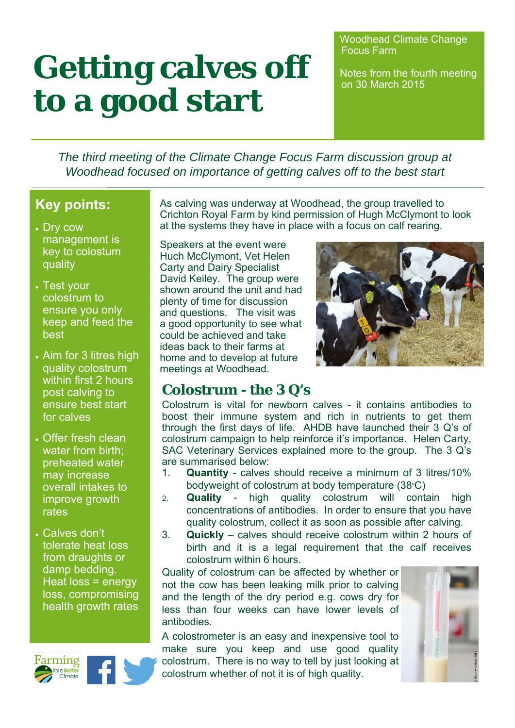# Getting calves off **Notes from the fourth meeting to a good start**

Woodhead Climate Change Focus Farm

*The third meeting of the Climate Change Focus Farm discussion group at Woodhead focused on importance of getting calves off to the best start*

## **Key points:**

- Dry cow management is key to colostum quality
- Test your colostrum to ensure you only keep and feed the best
- Aim for 3 litres high quality colostrum within first 2 hours post calving to ensure best start for calves
- Offer fresh clean water from birth; preheated water may increase overall intakes to improve growth rates
- Calves don't tolerate heat loss from draughts or damp bedding. Heat loss = energy loss, compromising health growth rates



As calving was underway at Woodhead, the group travelled to Crichton Royal Farm by kind permission of Hugh McClymont to look at the systems they have in place with a focus on calf rearing.

Speakers at the event were Huch McClymont, Vet Helen Carty and Dairy Specialist David Keiley. The group were shown around the unit and had plenty of time for discussion and questions. The visit was a good opportunity to see what could be achieved and take ideas back to their farms at home and to develop at future meetings at Woodhead.



### **Colostrum - the 3 Q's**

Colostrum is vital for newborn calves - it contains antibodies to boost their immune system and rich in nutrients to get them through the first days of life. AHDB have launched their 3 Q's of colostrum campaign to help reinforce it's importance. Helen Carty, SAC Veterinary Services explained more to the group. The 3 Q's are summarised below:

- 1. **Quantity**  calves should receive a minimum of 3 litres/10% bodyweight of colostrum at body temperature  $(38°C)$
- 2. **Quality** high quality colostrum will contain high concentrations of antibodies. In order to ensure that you have quality colostrum, collect it as soon as possible after calving.
- 3. **Quickly** calves should receive colostrum within 2 hours of birth and it is a legal requirement that the calf receives colostrum within 6 hours.

Quality of colostrum can be affected by whether or not the cow has been leaking milk prior to calving and the length of the dry period e.g. cows dry for less than four weeks can have lower levels of antibodies.

A colostrometer is an easy and inexpensive tool to make sure you keep and use good quality colostrum. There is no way to tell by just looking at colostrum whether of not it is of high quality.